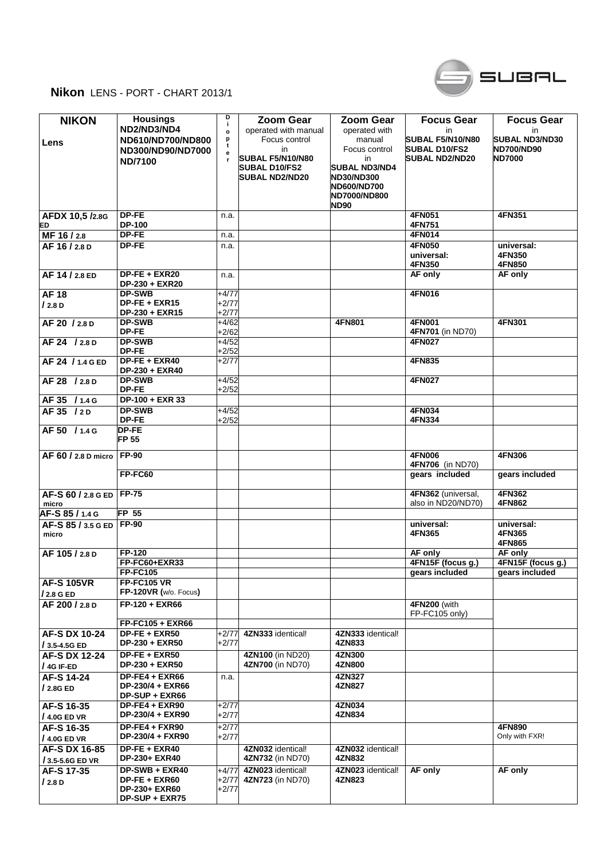



| <b>NIKON</b><br>Lens               | <b>Housings</b><br>ND2/ND3/ND4<br>ND610/ND700/ND800<br>ND300/ND90/ND7000<br><b>ND/7100</b> | D<br>j.<br>$\mathbf{o}$<br>p<br>t<br>е | <b>Zoom Gear</b><br>operated with manual<br>Focus control<br>in<br>SUBAL F5/N10/N80<br><b>SUBAL D10/FS2</b><br><b>SUBAL ND2/ND20</b> | <b>Zoom Gear</b><br>operated with<br>manual<br>Focus control<br>in.<br><b>SUBAL ND3/ND4</b><br><b>ND30/ND300</b><br><b>ND600/ND700</b> | <b>Focus Gear</b><br>in<br>SUBAL F5/N10/N80<br><b>SUBAL D10/FS2</b><br><b>SUBAL ND2/ND20</b> | <b>Focus Gear</b><br>in<br><b>SUBAL ND3/ND30</b><br><b>ND700/ND90</b><br><b>ND7000</b> |
|------------------------------------|--------------------------------------------------------------------------------------------|----------------------------------------|--------------------------------------------------------------------------------------------------------------------------------------|----------------------------------------------------------------------------------------------------------------------------------------|----------------------------------------------------------------------------------------------|----------------------------------------------------------------------------------------|
|                                    |                                                                                            |                                        |                                                                                                                                      | ND7000/ND800<br><b>ND90</b>                                                                                                            |                                                                                              |                                                                                        |
| AFDX 10,5 /2.8G<br>ED              | DP-FE<br>DP-100                                                                            | n.a.                                   |                                                                                                                                      |                                                                                                                                        | 4FN051<br>4FN751                                                                             | 4FN351                                                                                 |
| MF 16/2.8                          | DP-FE                                                                                      | n.a.                                   |                                                                                                                                      |                                                                                                                                        | 4FN014                                                                                       |                                                                                        |
| AF 16 / 2.8 D                      | DP-FE                                                                                      | n.a.                                   |                                                                                                                                      |                                                                                                                                        | 4FN050                                                                                       | universal:                                                                             |
|                                    |                                                                                            |                                        |                                                                                                                                      |                                                                                                                                        | universal:<br>4FN350                                                                         | 4FN350<br>4FN850                                                                       |
| AF 14 / 2.8 ED                     | DP-FE + EXR20                                                                              | n.a.                                   |                                                                                                                                      |                                                                                                                                        | AF only                                                                                      | AF only                                                                                |
|                                    | DP-230 + EXR20                                                                             |                                        |                                                                                                                                      |                                                                                                                                        |                                                                                              |                                                                                        |
| <b>AF18</b>                        | <b>DP-SWB</b><br>DP-FE + EXR15                                                             | +4/77<br>$+2/77$                       |                                                                                                                                      |                                                                                                                                        | 4FN016                                                                                       |                                                                                        |
| /2.8 D                             | DP-230 + EXR15                                                                             | $+2/77$                                |                                                                                                                                      |                                                                                                                                        |                                                                                              |                                                                                        |
| AF 20 / 2.8 D                      | <b>DP-SWB</b>                                                                              | $+4/62$                                |                                                                                                                                      | 4FN801                                                                                                                                 | 4FN001                                                                                       | 4FN301                                                                                 |
|                                    | DP-FE                                                                                      | $+2/62$                                |                                                                                                                                      |                                                                                                                                        | 4FN701 (in ND70)                                                                             |                                                                                        |
| AF 24 / 2.8 D                      | <b>DP-SWB</b>                                                                              | $+4/52$                                |                                                                                                                                      |                                                                                                                                        | <b>4FN027</b>                                                                                |                                                                                        |
|                                    | DP-FE                                                                                      | $+2/52$                                |                                                                                                                                      |                                                                                                                                        |                                                                                              |                                                                                        |
| AF 24 / 1.4 G ED                   | DP-FE + EXR40<br>DP-230 + EXR40                                                            | $+2/77$                                |                                                                                                                                      |                                                                                                                                        | 4FN835                                                                                       |                                                                                        |
| AF 28 / 2.8 D                      | <b>DP-SWB</b><br>DP-FE                                                                     | $+4/52$<br>$+2/52$                     |                                                                                                                                      |                                                                                                                                        | 4FN027                                                                                       |                                                                                        |
| AF 35 / 1.4 G                      | DP-100 + EXR 33                                                                            |                                        |                                                                                                                                      |                                                                                                                                        |                                                                                              |                                                                                        |
| AF 35 / 2D                         | <b>DP-SWB</b>                                                                              | $+4/52$                                |                                                                                                                                      |                                                                                                                                        | 4FN034                                                                                       |                                                                                        |
|                                    | DP-FE                                                                                      | $+2/52$                                |                                                                                                                                      |                                                                                                                                        | 4FN334                                                                                       |                                                                                        |
| AF 50 / 1.4 G                      | DP-FE<br><b>FP 55</b>                                                                      |                                        |                                                                                                                                      |                                                                                                                                        |                                                                                              |                                                                                        |
| AF 60 / 2.8 D micro                | <b>FP-90</b>                                                                               |                                        |                                                                                                                                      |                                                                                                                                        | <b>4FN006</b>                                                                                | <b>4FN306</b>                                                                          |
|                                    | FP-FC60                                                                                    |                                        |                                                                                                                                      |                                                                                                                                        | 4FN706 (in ND70)<br>gears included                                                           | gears included                                                                         |
|                                    |                                                                                            |                                        |                                                                                                                                      |                                                                                                                                        |                                                                                              |                                                                                        |
| AF-S 60 / 2.8 G ED<br>micro        | <b>FP-75</b>                                                                               |                                        |                                                                                                                                      |                                                                                                                                        | 4FN362 (universal,<br>also in ND20/ND70)                                                     | 4FN362<br>4FN862                                                                       |
| AF-S 85 / 1.4 G                    | FP <sub>55</sub>                                                                           |                                        |                                                                                                                                      |                                                                                                                                        |                                                                                              |                                                                                        |
| AF-S 85 / 3.5 G ED<br>micro        | <b>FP-90</b>                                                                               |                                        |                                                                                                                                      |                                                                                                                                        | universal:<br>4FN365                                                                         | universal:<br>4FN365<br>4FN865                                                         |
| AF 105 / 2.8 D                     | <b>FP-120</b>                                                                              |                                        |                                                                                                                                      |                                                                                                                                        | AF only                                                                                      | AF only                                                                                |
|                                    | FP-FC60+EXR33                                                                              |                                        |                                                                                                                                      |                                                                                                                                        | 4FN15F (focus g.)                                                                            | 4FN15F (focus g.)                                                                      |
|                                    | <b>FP-FC105</b>                                                                            |                                        |                                                                                                                                      |                                                                                                                                        | gears included                                                                               | gears included                                                                         |
| <b>AF-S 105VR</b><br>/ 2.8 G ED    | <b>FP-FC105 VR</b><br>FP-120VR (w/o. Focus)                                                |                                        |                                                                                                                                      |                                                                                                                                        |                                                                                              |                                                                                        |
| AF 200 / 2.8 D                     | FP-120 + EXR66                                                                             |                                        |                                                                                                                                      |                                                                                                                                        | 4FN200 (with<br>FP-FC105 only)                                                               |                                                                                        |
|                                    | FP-FC105 + EXR66                                                                           |                                        |                                                                                                                                      |                                                                                                                                        |                                                                                              |                                                                                        |
| AF-S DX 10-24<br>/ 3.5-4.5G ED     | DP-FE + EXR50<br>DP-230 + EXR50                                                            | $+2/77$<br>$+2/77$                     | 4ZN333 identical!                                                                                                                    | 4ZN333 identical!<br>4ZN833                                                                                                            |                                                                                              |                                                                                        |
| <b>AF-S DX 12-24</b><br>/ 4G IF-ED | $DP-FE + EXR50$<br>DP-230 + EXR50                                                          |                                        | 4ZN100 (in ND20)<br>4ZN700 (in ND70)                                                                                                 | 4ZN300<br>4ZN800                                                                                                                       |                                                                                              |                                                                                        |
| AF-S 14-24<br>/2.8GED              | $DP-FE4 + EXR66$<br>DP-230/4 + EXR66<br>DP-SUP + EXR66                                     | n.a.                                   |                                                                                                                                      | 4ZN327<br>4ZN827                                                                                                                       |                                                                                              |                                                                                        |
| AF-S 16-35<br>$/4.0G$ ED VR        | DP-FE4 + EXR90<br>DP-230/4 + EXR90                                                         | $+2/77$<br>$+2/77$                     |                                                                                                                                      | 4ZN034<br>4ZN834                                                                                                                       |                                                                                              |                                                                                        |
| AF-S 16-35<br>$/4.0G$ ED VR        | $DP-FE4 + FXR90$<br>DP-230/4 + FXR90                                                       | $+2/77$<br>$+2/77$                     |                                                                                                                                      |                                                                                                                                        |                                                                                              | 4FN890<br>Only with FXR!                                                               |
| <b>AF-S DX 16-85</b>               | $DP-FE + EXR40$                                                                            |                                        | 4ZN032 identical!                                                                                                                    | 4ZN032 identical!                                                                                                                      |                                                                                              |                                                                                        |
| / 3.5-5.6G ED VR                   | DP-230+ EXR40                                                                              |                                        | 4ZN732 (in ND70)                                                                                                                     | 4ZN832                                                                                                                                 |                                                                                              |                                                                                        |
| AF-S 17-35<br>/2.8 D               | DP-SWB + EXR40<br>DP-FE + EXR60<br><b>DP-230+ EXR60</b><br><b>DP-SUP + EXR75</b>           | $+4/77$<br>$+2/77$<br>$+2/77$          | 4ZN023 identical!<br>4ZN723 (in ND70)                                                                                                | 4ZN023 identical!<br>4ZN823                                                                                                            | AF only                                                                                      | AF only                                                                                |